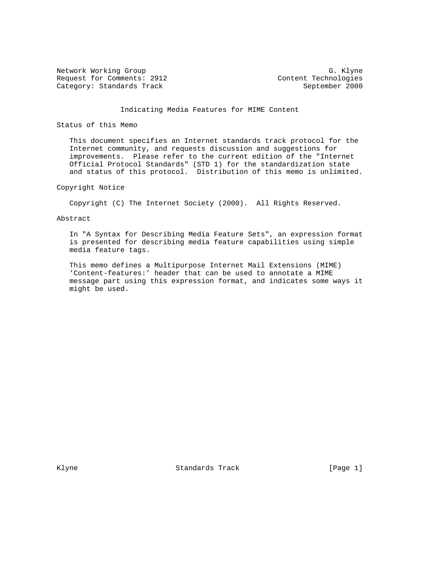Network Working Group G. Klyne Request for Comments: 2912 Content Technologies Category: Standards Track September 2000

# Indicating Media Features for MIME Content

## Status of this Memo

 This document specifies an Internet standards track protocol for the Internet community, and requests discussion and suggestions for improvements. Please refer to the current edition of the "Internet Official Protocol Standards" (STD 1) for the standardization state and status of this protocol. Distribution of this memo is unlimited.

### Copyright Notice

Copyright (C) The Internet Society (2000). All Rights Reserved.

### Abstract

 In "A Syntax for Describing Media Feature Sets", an expression format is presented for describing media feature capabilities using simple media feature tags.

 This memo defines a Multipurpose Internet Mail Extensions (MIME) 'Content-features:' header that can be used to annotate a MIME message part using this expression format, and indicates some ways it might be used.

Klyne **Standards Track** [Page 1]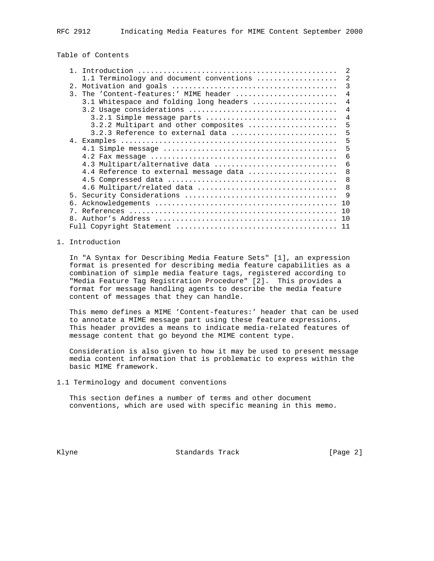# Table of Contents

| $\mathbf{1}$                                         | $\mathfrak{D}$ |
|------------------------------------------------------|----------------|
| 1.1 Terminology and document conventions             | 2              |
| 2.                                                   | 3              |
| The 'Content-features:' MIME header<br>$\mathcal{R}$ | $\overline{4}$ |
| 3.1 Whitespace and folding long headers              | 4              |
|                                                      | 4              |
|                                                      | 4              |
| 3.2.2 Multipart and other composites                 | 5              |
| $3.2.3$ Reference to external data                   | 5              |
|                                                      | 5              |
|                                                      | 5              |
|                                                      | 6              |
| 4.3 Multipart/alternative data                       | 6              |
| 4.4 Reference to external message data               | 8              |
|                                                      | 8              |
|                                                      | 8              |
|                                                      | 9              |
|                                                      | 10             |
| 7                                                    | 10             |
| 8                                                    | 10             |
|                                                      | 11             |

## 1. Introduction

 In "A Syntax for Describing Media Feature Sets" [1], an expression format is presented for describing media feature capabilities as a combination of simple media feature tags, registered according to "Media Feature Tag Registration Procedure" [2]. This provides a format for message handling agents to describe the media feature content of messages that they can handle.

 This memo defines a MIME 'Content-features:' header that can be used to annotate a MIME message part using these feature expressions. This header provides a means to indicate media-related features of message content that go beyond the MIME content type.

 Consideration is also given to how it may be used to present message media content information that is problematic to express within the basic MIME framework.

1.1 Terminology and document conventions

 This section defines a number of terms and other document conventions, which are used with specific meaning in this memo.

Klyne **Standards Track** [Page 2]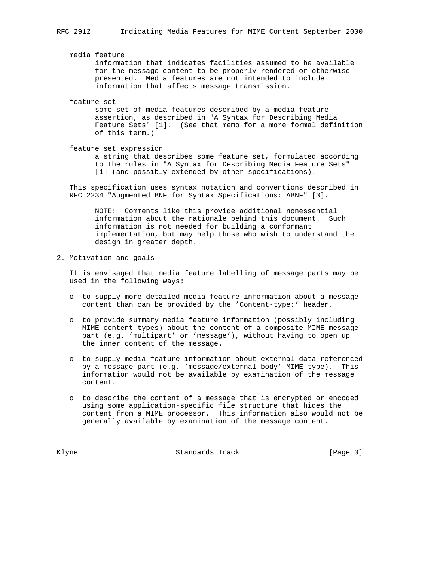media feature information that indicates facilities assumed to be available for the message content to be properly rendered or otherwise presented. Media features are not intended to include information that affects message transmission.

feature set

 some set of media features described by a media feature assertion, as described in "A Syntax for Describing Media Feature Sets" [1]. (See that memo for a more formal definition of this term.)

feature set expression

 a string that describes some feature set, formulated according to the rules in "A Syntax for Describing Media Feature Sets" [1] (and possibly extended by other specifications).

 This specification uses syntax notation and conventions described in RFC 2234 "Augmented BNF for Syntax Specifications: ABNF" [3].

 NOTE: Comments like this provide additional nonessential information about the rationale behind this document. Such information is not needed for building a conformant implementation, but may help those who wish to understand the design in greater depth.

2. Motivation and goals

 It is envisaged that media feature labelling of message parts may be used in the following ways:

- o to supply more detailed media feature information about a message content than can be provided by the 'Content-type:' header.
- o to provide summary media feature information (possibly including MIME content types) about the content of a composite MIME message part (e.g. 'multipart' or 'message'), without having to open up the inner content of the message.
- o to supply media feature information about external data referenced by a message part (e.g. 'message/external-body' MIME type). This information would not be available by examination of the message content.
- o to describe the content of a message that is encrypted or encoded using some application-specific file structure that hides the content from a MIME processor. This information also would not be generally available by examination of the message content.

Klyne **Standards Track** [Page 3]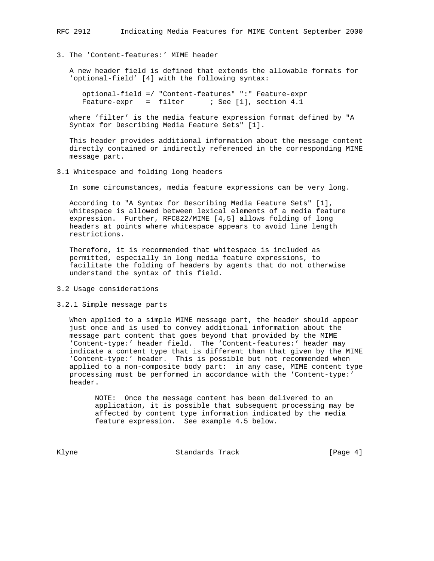## 3. The 'Content-features:' MIME header

 A new header field is defined that extends the allowable formats for 'optional-field' [4] with the following syntax:

 optional-field =/ "Content-features" ":" Feature-expr Feature-expr = filter ; See [1], section 4.1

 where 'filter' is the media feature expression format defined by "A Syntax for Describing Media Feature Sets" [1].

 This header provides additional information about the message content directly contained or indirectly referenced in the corresponding MIME message part.

## 3.1 Whitespace and folding long headers

In some circumstances, media feature expressions can be very long.

 According to "A Syntax for Describing Media Feature Sets" [1], whitespace is allowed between lexical elements of a media feature expression. Further, RFC822/MIME [4,5] allows folding of long headers at points where whitespace appears to avoid line length restrictions.

 Therefore, it is recommended that whitespace is included as permitted, especially in long media feature expressions, to facilitate the folding of headers by agents that do not otherwise understand the syntax of this field.

## 3.2 Usage considerations

#### 3.2.1 Simple message parts

 When applied to a simple MIME message part, the header should appear just once and is used to convey additional information about the message part content that goes beyond that provided by the MIME 'Content-type:' header field. The 'Content-features:' header may indicate a content type that is different than that given by the MIME 'Content-type:' header. This is possible but not recommended when applied to a non-composite body part: in any case, MIME content type processing must be performed in accordance with the 'Content-type:' header.

 NOTE: Once the message content has been delivered to an application, it is possible that subsequent processing may be affected by content type information indicated by the media feature expression. See example 4.5 below.

Klyne **Standards Track** [Page 4]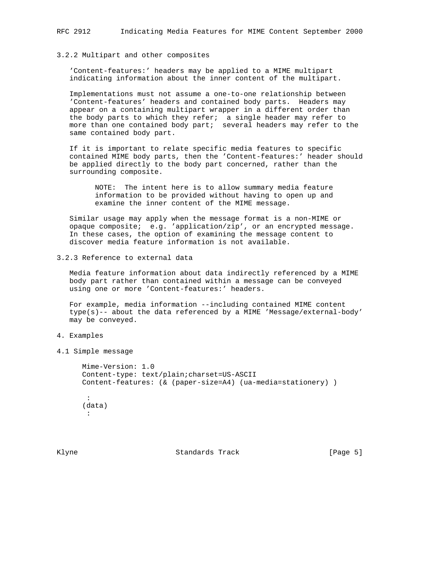#### 3.2.2 Multipart and other composites

 'Content-features:' headers may be applied to a MIME multipart indicating information about the inner content of the multipart.

 Implementations must not assume a one-to-one relationship between 'Content-features' headers and contained body parts. Headers may appear on a containing multipart wrapper in a different order than the body parts to which they refer; a single header may refer to more than one contained body part; several headers may refer to the same contained body part.

 If it is important to relate specific media features to specific contained MIME body parts, then the 'Content-features:' header should be applied directly to the body part concerned, rather than the surrounding composite.

> NOTE: The intent here is to allow summary media feature information to be provided without having to open up and examine the inner content of the MIME message.

 Similar usage may apply when the message format is a non-MIME or opaque composite; e.g. 'application/zip', or an encrypted message. In these cases, the option of examining the message content to discover media feature information is not available.

3.2.3 Reference to external data

 Media feature information about data indirectly referenced by a MIME body part rather than contained within a message can be conveyed using one or more 'Content-features:' headers.

 For example, media information --including contained MIME content type(s)-- about the data referenced by a MIME 'Message/external-body' may be conveyed.

- 4. Examples
- 4.1 Simple message

```
 Mime-Version: 1.0
       Content-type: text/plain;charset=US-ASCII
       Content-features: (& (paper-size=A4) (ua-media=stationery) )
        :
       (data)
: 1990 - 1990
```
Klyne Standards Track (Page 5)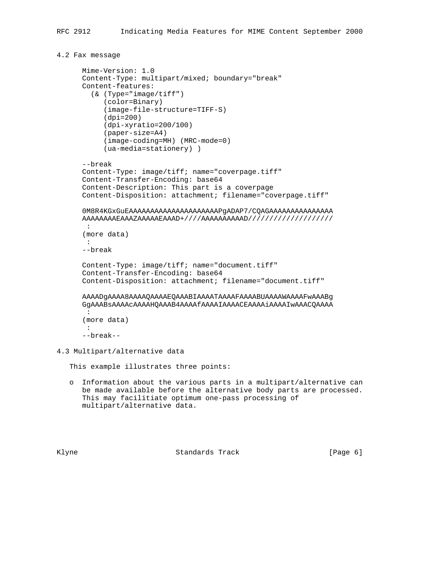```
4.2 Fax message
```

```
 Mime-Version: 1.0
       Content-Type: multipart/mixed; boundary="break"
       Content-features:
         (& (Type="image/tiff")
            (color=Binary)
            (image-file-structure=TIFF-S)
            (dpi=200)
            (dpi-xyratio=200/100)
            (paper-size=A4)
            (image-coding=MH) (MRC-mode=0)
            (ua-media=stationery) )
       --break
       Content-Type: image/tiff; name="coverpage.tiff"
       Content-Transfer-Encoding: base64
       Content-Description: This part is a coverpage
       Content-Disposition: attachment; filename="coverpage.tiff"
       0M8R4KGxGuEAAAAAAAAAAAAAAAAAAAAAPgADAP7/CQAGAAAAAAAAAAAAAAA
       AAAAAAAAEAAAZAAAAAEAAAD+////AAAAAAAAAAD////////////////////
        :
       (more data)
       :
       --break
       Content-Type: image/tiff; name="document.tiff"
       Content-Transfer-Encoding: base64
       Content-Disposition: attachment; filename="document.tiff"
       AAAADgAAAA8AAAAQAAAAEQAAABIAAAATAAAAFAAAABUAAAAWAAAAFwAAABg
       GgAAABsAAAAcAAAAHQAAAB4AAAAfAAAAIAAAACEAAAAiAAAAIwAAACQAAAA
        :
       (more data)
: 1990 - 1990
       --break--
4.3 Multipart/alternative data
```
This example illustrates three points:

 o Information about the various parts in a multipart/alternative can be made available before the alternative body parts are processed. This may facilitiate optimum one-pass processing of multipart/alternative data.

Klyne **Standards Track** (Page 6)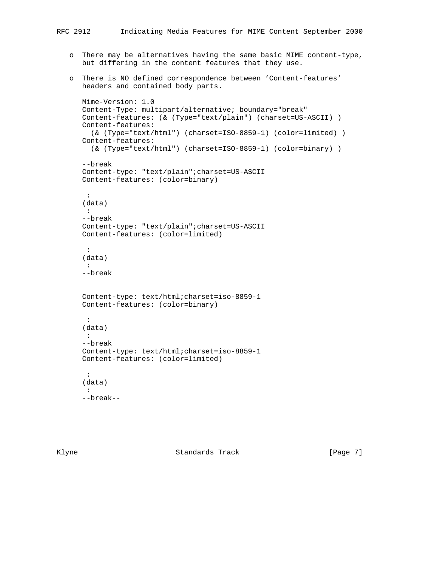- o There may be alternatives having the same basic MIME content-type, but differing in the content features that they use.
- o There is NO defined correspondence between 'Content-features' headers and contained body parts.

```
 Mime-Version: 1.0
 Content-Type: multipart/alternative; boundary="break"
Content-features: (& (Type="text/plain") (charset=US-ASCII) )
 Content-features:
   (& (Type="text/html") (charset=ISO-8859-1) (color=limited) )
 Content-features:
   (& (Type="text/html") (charset=ISO-8859-1) (color=binary) )
 --break
 Content-type: "text/plain";charset=US-ASCII
 Content-features: (color=binary)
  :
 (data)
 :
 --break
 Content-type: "text/plain";charset=US-ASCII
 Content-features: (color=limited)
  :
 (data)
  :
 --break
 Content-type: text/html;charset=iso-8859-1
 Content-features: (color=binary)
 :
 (data)
 :
 --break
 Content-type: text/html;charset=iso-8859-1
 Content-features: (color=limited)
  :
 (data)
  :
 --break--
```
Klyne Standards Track [Page 7]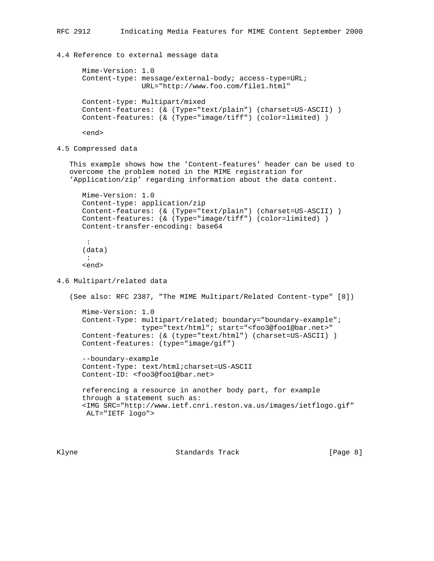4.4 Reference to external message data

```
 Mime-Version: 1.0
 Content-type: message/external-body; access-type=URL;
               URL="http://www.foo.com/file1.html"
 Content-type: Multipart/mixed
Content-features: (& (Type="text/plain") (charset=US-ASCII) )
 Content-features: (& (Type="image/tiff") (color=limited) )
```
<end>

4.5 Compressed data

 This example shows how the 'Content-features' header can be used to overcome the problem noted in the MIME registration for 'Application/zip' regarding information about the data content.

```
 Mime-Version: 1.0
 Content-type: application/zip
Content-features: (& (Type="text/plain") (charset=US-ASCII) )
 Content-features: (& (Type="image/tiff") (color=limited) )
 Content-transfer-encoding: base64
 :
 (data)
```

```
 :
 <end>
```
4.6 Multipart/related data

```
 (See also: RFC 2387, "The MIME Multipart/Related Content-type" [8])
   Mime-Version: 1.0
   Content-Type: multipart/related; boundary="boundary-example";
                 type="text/html"; start="<foo3@foo1@bar.net>"
   Content-features: (& (type="text/html") (charset=US-ASCII) )
   Content-features: (type="image/gif")
   --boundary-example
   Content-Type: text/html;charset=US-ASCII
   Content-ID: <foo3@foo1@bar.net>
   referencing a resource in another body part, for example
   through a statement such as:
   <IMG SRC="http://www.ietf.cnri.reston.va.us/images/ietflogo.gif"
    ALT="IETF logo">
```
Klyne **Standards Track** [Page 8]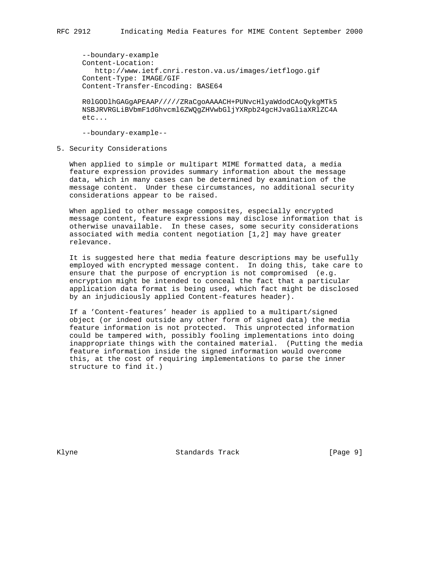--boundary-example Content-Location: http://www.ietf.cnri.reston.va.us/images/ietflogo.gif Content-Type: IMAGE/GIF Content-Transfer-Encoding: BASE64

 R0lGODlhGAGgAPEAAP/////ZRaCgoAAAACH+PUNvcHlyaWdodCAoQykgMTk5 NSBJRVRGLiBVbmF1dGhvcml6ZWQgZHVwbGljYXRpb24gcHJvaGliaXRlZC4A etc...

--boundary-example--

5. Security Considerations

 When applied to simple or multipart MIME formatted data, a media feature expression provides summary information about the message data, which in many cases can be determined by examination of the message content. Under these circumstances, no additional security considerations appear to be raised.

 When applied to other message composites, especially encrypted message content, feature expressions may disclose information that is otherwise unavailable. In these cases, some security considerations associated with media content negotiation [1,2] may have greater relevance.

 It is suggested here that media feature descriptions may be usefully employed with encrypted message content. In doing this, take care to ensure that the purpose of encryption is not compromised (e.g. encryption might be intended to conceal the fact that a particular application data format is being used, which fact might be disclosed by an injudiciously applied Content-features header).

 If a 'Content-features' header is applied to a multipart/signed object (or indeed outside any other form of signed data) the media feature information is not protected. This unprotected information could be tampered with, possibly fooling implementations into doing inappropriate things with the contained material. (Putting the media feature information inside the signed information would overcome this, at the cost of requiring implementations to parse the inner structure to find it.)

Klyne **Standards Track** [Page 9]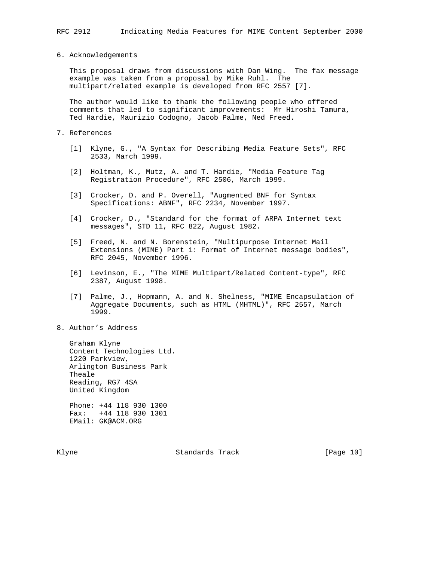6. Acknowledgements

 This proposal draws from discussions with Dan Wing. The fax message example was taken from a proposal by Mike Ruhl. The multipart/related example is developed from RFC 2557 [7].

 The author would like to thank the following people who offered comments that led to significant improvements: Mr Hiroshi Tamura, Ted Hardie, Maurizio Codogno, Jacob Palme, Ned Freed.

- 7. References
	- [1] Klyne, G., "A Syntax for Describing Media Feature Sets", RFC 2533, March 1999.
	- [2] Holtman, K., Mutz, A. and T. Hardie, "Media Feature Tag Registration Procedure", RFC 2506, March 1999.
	- [3] Crocker, D. and P. Overell, "Augmented BNF for Syntax Specifications: ABNF", RFC 2234, November 1997.
	- [4] Crocker, D., "Standard for the format of ARPA Internet text messages", STD 11, RFC 822, August 1982.
	- [5] Freed, N. and N. Borenstein, "Multipurpose Internet Mail Extensions (MIME) Part 1: Format of Internet message bodies", RFC 2045, November 1996.
	- [6] Levinson, E., "The MIME Multipart/Related Content-type", RFC 2387, August 1998.
	- [7] Palme, J., Hopmann, A. and N. Shelness, "MIME Encapsulation of Aggregate Documents, such as HTML (MHTML)", RFC 2557, March 1999.
- 8. Author's Address

 Graham Klyne Content Technologies Ltd. 1220 Parkview, Arlington Business Park Theale Reading, RG7 4SA United Kingdom

 Phone: +44 118 930 1300 Fax: +44 118 930 1301 EMail: GK@ACM.ORG

Klyne **Standards Track** [Page 10]